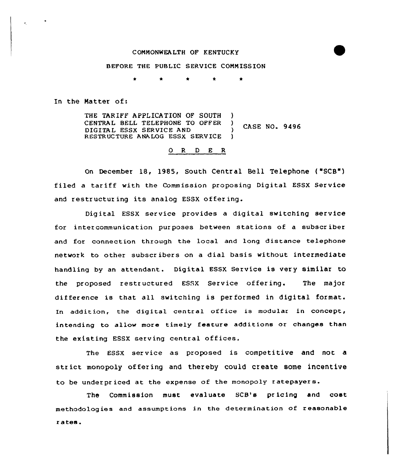## CONNONWEALTH OF KENTUCKY

## BEFORE THE PUBLIC SERVICE CONNISS ION

 $\star$ 

In the Natter of:

 $\star$ 

THE TARIFF APPLICATION OF SOUTH CENTRAL BELL TELEPHONE TO OFFER ) **CASE NO. 9496** DIGITAL ESSX SERVICE AND (1995) RESTRUCTURE ANALOG ESSX SERVICE

## 0 R <sup>D</sup> E R

On December 18, 1985, South Central Bell Telephone ( "SCB") filed <sup>a</sup> tar iff with the Commission proposing Digital ESSX Service and restructur ing its analog ESSX offer ing.

Digital ESSX service provides a digital switching service for inter communication pur poses between stations of a subscr iber and for connection through the local and long distance telephone network to other subscr ibers on a dial basis without intermediate handling by an attendant. Digital ESSX Service is very similar to the proposed restructured ESSX Service offering. The major difference is that all switching is performed in digital format. In addition, the digital central office is modular in concept, intending to allow more timely feature additions or changes than the existing ESSX serving central offices.

The ESSX service as proposed is competitive and not a str ict monopoly offering and thereby could create some incentive to be under pr iced at the expense of the monopoly <sup>r</sup> atepayer s.

The Commission must evaluate SCB's pr icing and cost methodologies and assumptions in the determination of reasonable <sup>r</sup> ates.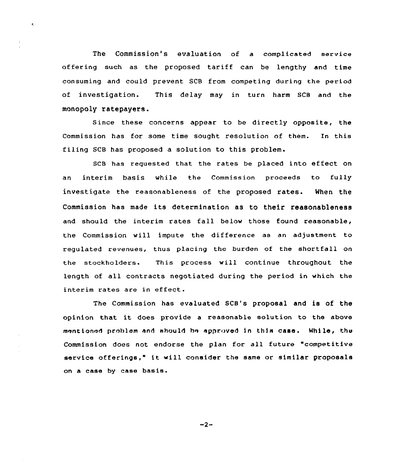The Commission's evaluation of a complicated service offering such as the proposed tariff can be lengthy and time consuming and could prevent SCB from competing during the period of investigation. This delay may in turn harm SCB and the monopoly ratepayers.

Since these concerns appear to be directly opposite, the Commission has for some time sought resolution of them. En this filing SCB has proposed a solution to this problem.

SCB has requested that the rates be placed into effect on an interim basis while the Commission proceeds to fully investigate the reasonableness of the proposed rates. When the Commission has made its determination as to their reasonableness and should the interim rates fall belov those found reasonable, the Commission vill impute the difference as an adjustment to regulated revenues, thus placing the burden of the shortfall on the stockholders. This process will continue throughout the length of all contracts negotiated during the period in which the interim rates are in effect.

The Commission has evaluated SCB's proposal and is of the opinion that it does provide <sup>a</sup> reasonable solution to the above mentioned problem and should be approved in this case. While, the Commission does not endorse the plan for all future "competitive service offerings," it vill consider the same or similar proposals on a case by case basis.

 $-2-$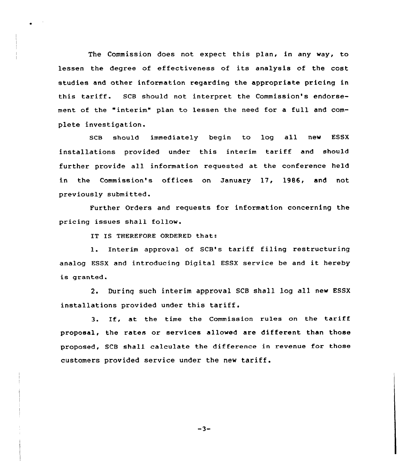The Commission does not expect this plan, in any way, to lessen the degree of effectiveness of its analysis of the cost studies and other information regarding the appropriate pricing in this tariff. SCB should not interpret the Commission's endorsement of the "interim" plan to lessen the need for a full and complete investigation.

SCB should immediately begin to log all new ESSX installations provided under this interim tariff and should further provide all information requested at the conference held in the Commission's offices on January 17, 1986, and not previously submitted.

Further Orders and requests for information concerning the pricing issues shall follow.

IT IS THEREFORE ORDERED that:

l. Interim approval of SCB's tariff filing restructuring analog ESSX and introducing Digital ESSX service be and it hereby is granted.

2, Durinq such interim approval SCB shall log all new ESSX installations provided under this tariff.

3. If, at the time the Commission rules on the tariff proposal, the rates or services allowed are different than those proposed, SCB shall calculate the difference in revenue for those customers provided service under the new tariff.

 $-3-$